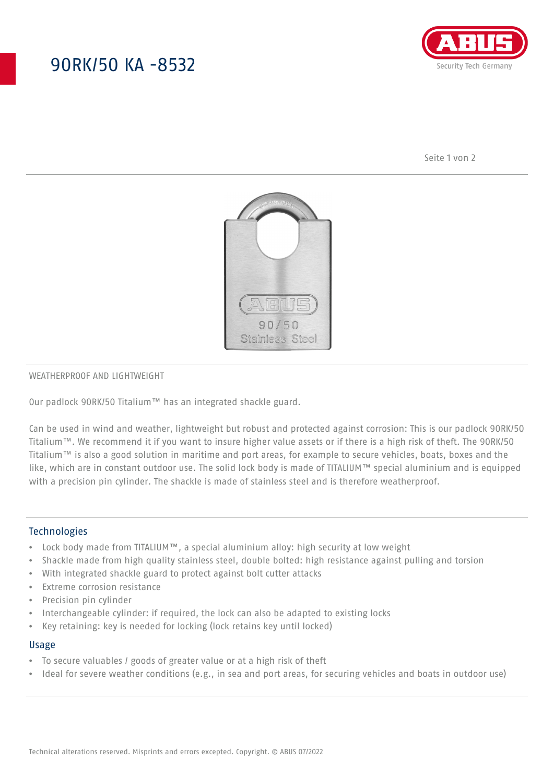## 90RK/50 KA -8532



Seite 1 von 2



## WEATHERPROOF AND LIGHTWEIGHT

Our padlock 90RK/50 Titalium™ has an integrated shackle guard.

Can be used in wind and weather, lightweight but robust and protected against corrosion: This is our padlock 90RK/50 Titalium™. We recommend it if you want to insure higher value assets or if there is a high risk of theft. The 90RK/50 Titalium™ is also a good solution in maritime and port areas, for example to secure vehicles, boats, boxes and the like, which are in constant outdoor use. The solid lock body is made of TITALIUM™ special aluminium and is equipped with a precision pin cylinder. The shackle is made of stainless steel and is therefore weatherproof.

## **Technologies**

- Lock body made from TITALIUM™, a special aluminium alloy: high security at low weight
- Shackle made from high quality stainless steel, double bolted: high resistance against pulling and torsion
- With integrated shackle guard to protect against bolt cutter attacks
- Extreme corrosion resistance
- Precision pin cylinder
- Interchangeable cylinder: if required, the lock can also be adapted to existing locks
- Key retaining: key is needed for locking (lock retains key until locked)

#### Usage

- To secure valuables / goods of greater value or at a high risk of theft
- Ideal for severe weather conditions (e.g., in sea and port areas, for securing vehicles and boats in outdoor use)